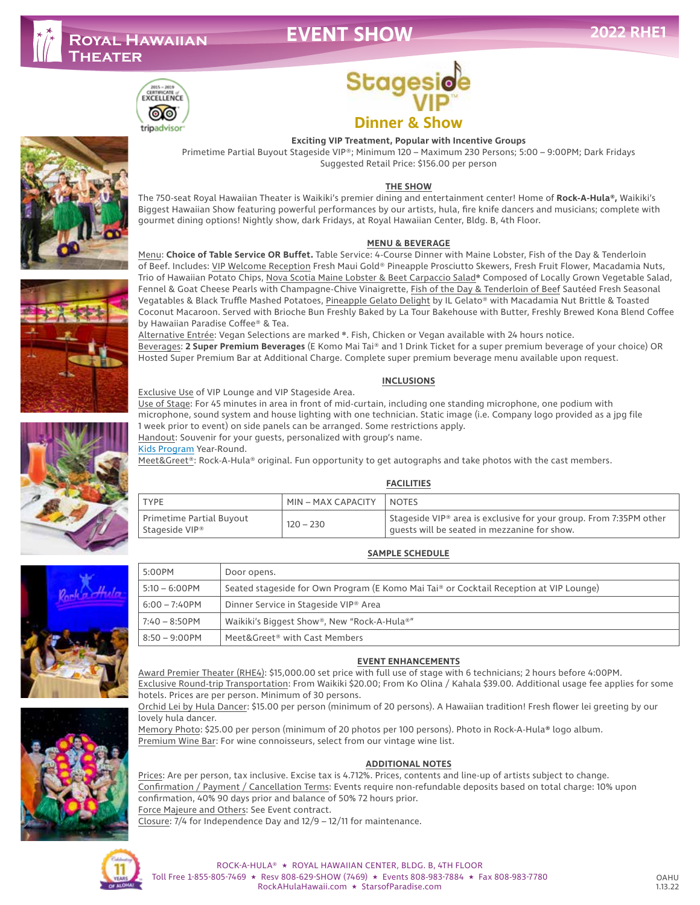## **EVENT SHOW**











# **Stages Dinner & Show**

#### **Exciting VIP Treatment, Popular with Incentive Groups**

Primetime Partial Buyout Stageside VIP®; Minimum 120 – Maximum 230 Persons; 5:00 – 9:00PM; Dark Fridays Suggested Retail Price: \$156.00 per person

#### **THE SHOW**

The 750-seat Royal Hawaiian Theater is Waikiki's premier dining and entertainment center! Home of **Rock-A-Hula®,** Waikiki's Biggest Hawaiian Show featuring powerful performances by our artists, hula, fire knife dancers and musicians; complete with gourmet dining options! Nightly show, dark Fridays, at Royal Hawaiian Center, Bldg. B, 4th Floor.

#### **MENU & BEVERAGE**

Menu: **Choice of Table Service OR Buffet.** Table Service: 4-Course Dinner with Maine Lobster, Fish of the Day & Tenderloin of Beef. Includes: VIP Welcome Reception Fresh Maui Gold® Pineapple Prosciutto Skewers, Fresh Fruit Flower, Macadamia Nuts, Trio of Hawaiian Potato Chips, Nova Scotia Maine Lobster & Beet Carpaccio Salad\* Composed of Locally Grown Vegetable Salad, Fennel & Goat Cheese Pearls with Champagne-Chive Vinaigrette, Fish of the Day & Tenderloin of Beef Sautéed Fresh Seasonal Vegatables & Black Truffle Mashed Potatoes, Pineapple Gelato Delight by IL Gelato® with Macadamia Nut Brittle & Toasted Coconut Macaroon. Served with Brioche Bun Freshly Baked by La Tour Bakehouse with Butter, Freshly Brewed Kona Blend Coffee by Hawaiian Paradise Coffee® & Tea.

Alternative Entrée: Vegan Selections are marked ❋. Fish, Chicken or Vegan available with 24 hours notice. Beverages: **2 Super Premium Beverages** (E Komo Mai Tai® and 1 Drink Ticket for a super premium beverage of your choice) OR Hosted Super Premium Bar at Additional Charge. Complete super premium beverage menu available upon request.

#### **INCLUSIONS**

Use of Stage: For 45 minutes in area in front of mid-curtain, including one standing microphone, one podium with microphone, sound system and house lighting with one technician. Static image (i.e. Company logo provided as a jpg file 1 week prior to event) on side panels can be arranged. Some restrictions apply.

Handout: Souvenir for your guests, personalized with group's name.

Kids Program Year-Round.

Meet&Greet®: Rock-A-Hula® original. Fun opportunity to get autographs and take photos with the cast members.

#### **FACILITIES**

|                                            |                    | .                                                                                                                              |
|--------------------------------------------|--------------------|--------------------------------------------------------------------------------------------------------------------------------|
| <b>TYPE</b>                                | MIN – MAX CAPACITY | <b>NOTES</b>                                                                                                                   |
| Primetime Partial Buyout<br>Stageside VIP® | $120 - 230$        | Stageside VIP <sup>®</sup> area is exclusive for your group. From 7:35PM other<br>quests will be seated in mezzanine for show. |

**SAMPLE SCHEDULE**



| 5:00PM           | Door opens.                                                                            |  |
|------------------|----------------------------------------------------------------------------------------|--|
| $5:10 - 6:00$ PM | Seated stageside for Own Program (E Komo Mai Tai® or Cocktail Reception at VIP Lounge) |  |
| $6:00 - 7:40$ PM | Dinner Service in Stageside VIP® Area                                                  |  |
| $7:40 - 8:50$ PM | Waikiki's Biggest Show®, New "Rock-A-Hula®"                                            |  |
| $8:50 - 9:00$ PM | Meet&Greet® with Cast Members                                                          |  |

#### **EVENT ENHANCEMENTS**

Award Premier Theater (RHE4): \$15,000.00 set price with full use of stage with 6 technicians; 2 hours before 4:00PM. Exclusive Round-trip Transportation: From Waikiki \$20.00; From Ko Olina / Kahala \$39.00. Additional usage fee applies for some hotels. Prices are per person. Minimum of 30 persons.

Orchid Lei by Hula Dancer: \$15.00 per person (minimum of 20 persons). A Hawaiian tradition! Fresh flower lei greeting by our lovely hula dancer.

Memory Photo: \$25.00 per person (minimum of 20 photos per 100 persons). Photo in Rock-A-Hula**®** logo album. Premium Wine Bar: For wine connoisseurs, select from our vintage wine list.

#### **ADDITIONAL NOTES**

Prices: Are per person, tax inclusive. Excise tax is 4.712%. Prices, contents and line-up of artists subject to change. Confirmation / Payment / Cancellation Terms: Events require non-refundable deposits based on total charge: 10% upon confirmation, 40% 90 days prior and balance of 50% 72 hours prior.

Force Majeure and Others: See Event contract.

Closure: 7/4 for Independence Day and 12/9 – 12/11 for maintenance.



#### ROCK-A-HULA® ★ ROYAL HAWAIIAN CENTER, BLDG. B, 4TH FLOOR Toll Free 1-855-805-7469 ★ Resv 808-629-SHOW (7469) ★ Events 808-983-7884 ★ Fax 808-983-7780 RockAHulaHawaii.com ★ StarsofParadise.com

OAHU 1.13.22